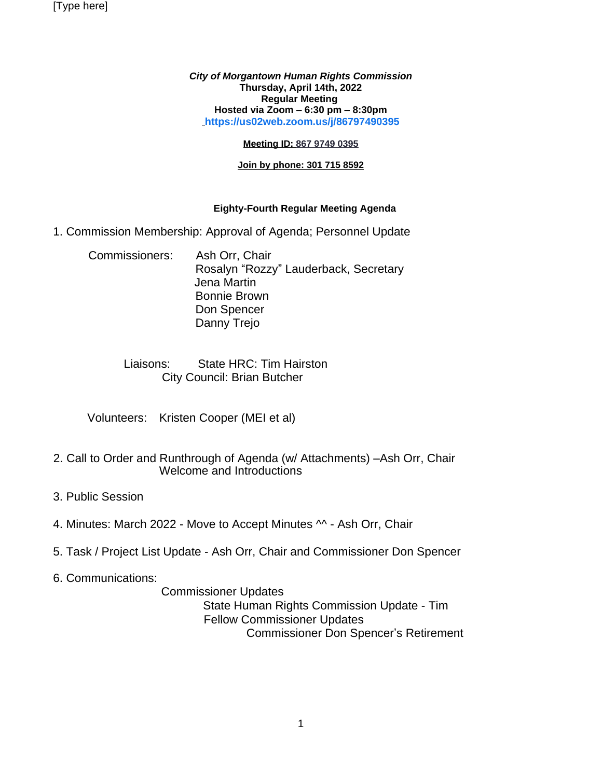[Type here]

*City of Morgantown Human Rights Commission* **Thursday, April 14th, 2022 Regular Meeting Hosted via Zoom – 6:30 pm – 8:30pm [https://us02web.zoom.us/j/86797490395](https://us02web.zoom.us/j/86797490395?pwd=dUJOdzJDSzcwRG51OTBqSGJML3BJZz09)**

#### **Meeting ID: 867 9749 0395**

#### **Join by phone: 301 715 8592**

#### **Eighty-Fourth Regular Meeting Agenda**

- 1. Commission Membership: Approval of Agenda; Personnel Update
	- Commissioners: Ash Orr, Chair Rosalyn "Rozzy" Lauderback, Secretary Jena Martin Bonnie Brown Don Spencer Danny Trejo

# Liaisons: State HRC: Tim Hairston City Council: Brian Butcher

Volunteers: Kristen Cooper (MEI et al)

- 2. Call to Order and Runthrough of Agenda (w/ Attachments) –Ash Orr, Chair Welcome and Introductions
- 3. Public Session
- 4. Minutes: March 2022 Move to Accept Minutes ^^ Ash Orr, Chair
- 5. Task / Project List Update Ash Orr, Chair and Commissioner Don Spencer
- 6. Communications:

Commissioner Updates

 State Human Rights Commission Update - Tim Fellow Commissioner Updates Commissioner Don Spencer's Retirement